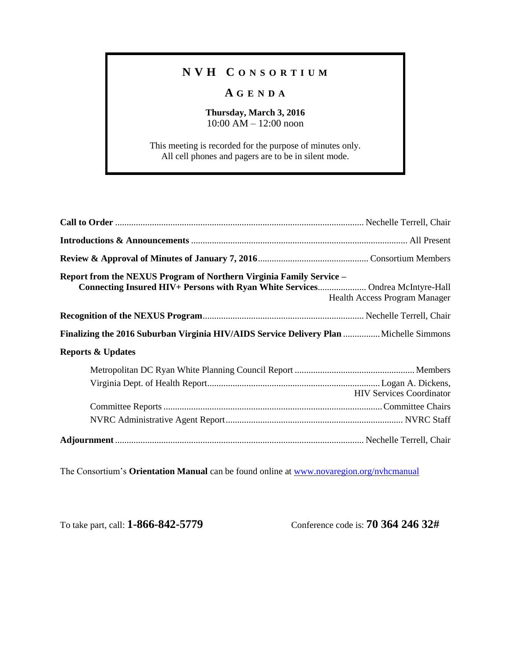## **N V H C O N S O R T I U M**

## **A G E N D A**

## **Thursday, March 3, 2016** 10:00 AM – 12:00 noon

This meeting is recorded for the purpose of minutes only. All cell phones and pagers are to be in silent mode.

| Report from the NEXUS Program of Northern Virginia Family Service -<br>Connecting Insured HIV+ Persons with Ryan White Services Ondrea McIntyre-Hall | Health Access Program Manager   |
|------------------------------------------------------------------------------------------------------------------------------------------------------|---------------------------------|
|                                                                                                                                                      |                                 |
| Finalizing the 2016 Suburban Virginia HIV/AIDS Service Delivery Plan  Michelle Simmons                                                               |                                 |
| <b>Reports &amp; Updates</b>                                                                                                                         |                                 |
|                                                                                                                                                      |                                 |
|                                                                                                                                                      | <b>HIV Services Coordinator</b> |
|                                                                                                                                                      |                                 |
|                                                                                                                                                      |                                 |
|                                                                                                                                                      |                                 |

The Consortium's **Orientation Manual** can be found online at [www.novaregion.org/nvhcmanual](http://www.novaregion.org/nvhcmanual)

To take part, call: **1-866-842-5779** Conference code is: **70 364 246 32#**